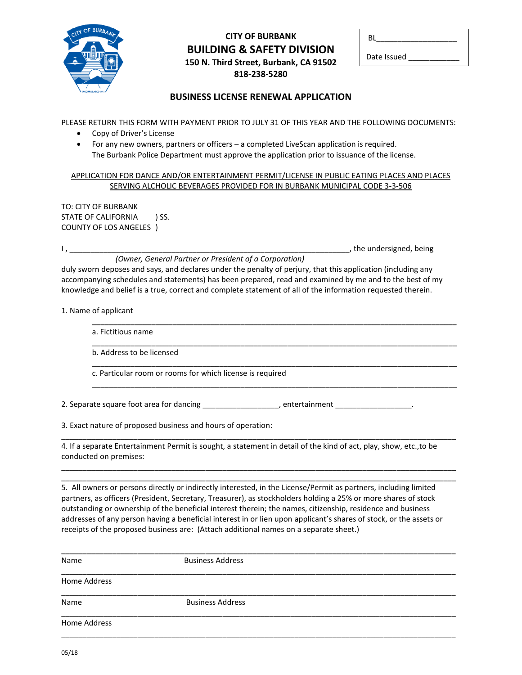

## **CITY OF BURBANK BUILDING & SAFETY DIVISION 150 N. Third Street, Burbank, CA 91502 818-238-5280**

| ΒI          |  |
|-------------|--|
| Date Issued |  |

, the undersigned, being

## **BUSINESS LICENSE RENEWAL APPLICATION**

PLEASE RETURN THIS FORM WITH PAYMENT PRIOR TO JULY 31 OF THIS YEAR AND THE FOLLOWING DOCUMENTS:

- Copy of Driver's License
- For any new owners, partners or officers a completed LiveScan application is required. The Burbank Police Department must approve the application prior to issuance of the license.

## APPLICATION FOR DANCE AND/OR ENTERTAINMENT PERMIT/LICENSE IN PUBLIC EATING PLACES AND PLACES SERVING ALCHOLIC BEVERAGES PROVIDED FOR IN BURBANK MUNICIPAL CODE 3-3-506

TO: CITY OF BURBANK STATE OF CALIFORNIA ) SS. COUNTY OF LOS ANGELES )

## *(Owner, General Partner or President of a Corporation)*

duly sworn deposes and says, and declares under the penalty of perjury, that this application (including any accompanying schedules and statements) has been prepared, read and examined by me and to the best of my knowledge and belief is a true, correct and complete statement of all of the information requested therein.

1. Name of applicant

| b. Address to be licensed                                 |  |
|-----------------------------------------------------------|--|
| c. Particular room or rooms for which license is required |  |

3. Exact nature of proposed business and hours of operation:

\_\_\_\_\_\_\_\_\_\_\_\_\_\_\_\_\_\_\_\_\_\_\_\_\_\_\_\_\_\_\_\_\_\_\_\_\_\_\_\_\_\_\_\_\_\_\_\_\_\_\_\_\_\_\_\_\_\_\_\_\_\_\_\_\_\_\_\_\_\_\_\_\_\_\_\_\_\_\_\_\_\_\_\_\_\_\_\_\_\_\_\_\_ 4. If a separate Entertainment Permit is sought, a statement in detail of the kind of act, play, show, etc.,to be conducted on premises:

\_\_\_\_\_\_\_\_\_\_\_\_\_\_\_\_\_\_\_\_\_\_\_\_\_\_\_\_\_\_\_\_\_\_\_\_\_\_\_\_\_\_\_\_\_\_\_\_\_\_\_\_\_\_\_\_\_\_\_\_\_\_\_\_\_\_\_\_\_\_\_\_\_\_\_\_\_\_\_\_\_\_\_\_\_\_\_\_\_\_\_\_\_

\_\_\_\_\_\_\_\_\_\_\_\_\_\_\_\_\_\_\_\_\_\_\_\_\_\_\_\_\_\_\_\_\_\_\_\_\_\_\_\_\_\_\_\_\_\_\_\_\_\_\_\_\_\_\_\_\_\_\_\_\_\_\_\_\_\_\_\_\_\_\_\_\_\_\_\_\_\_\_\_\_\_\_\_\_\_\_\_\_\_\_\_\_ 5. All owners or persons directly or indirectly interested, in the License/Permit as partners, including limited partners, as officers (President, Secretary, Treasurer), as stockholders holding a 25% or more shares of stock outstanding or ownership of the beneficial interest therein; the names, citizenship, residence and business addresses of any person having a beneficial interest in or lien upon applicant's shares of stock, or the assets or receipts of the proposed business are: (Attach additional names on a separate sheet.)

| Name         | <b>Business Address</b> |  |
|--------------|-------------------------|--|
| Home Address |                         |  |
| Name         | <b>Business Address</b> |  |
| Home Address |                         |  |